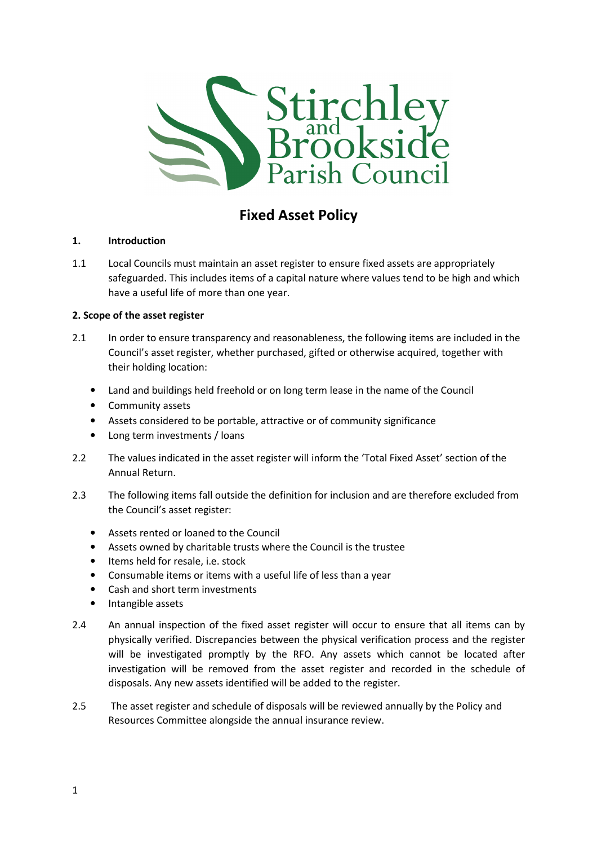

# Fixed Asset Policy

## 1. Introduction

1.1 Local Councils must maintain an asset register to ensure fixed assets are appropriately safeguarded. This includes items of a capital nature where values tend to be high and which have a useful life of more than one year.

## 2. Scope of the asset register

- 2.1 In order to ensure transparency and reasonableness, the following items are included in the Council's asset register, whether purchased, gifted or otherwise acquired, together with their holding location:
	- Land and buildings held freehold or on long term lease in the name of the Council
	- Community assets
	- Assets considered to be portable, attractive or of community significance
	- Long term investments / loans
- 2.2 The values indicated in the asset register will inform the 'Total Fixed Asset' section of the Annual Return.
- 2.3 The following items fall outside the definition for inclusion and are therefore excluded from the Council's asset register:
	- Assets rented or loaned to the Council
	- Assets owned by charitable trusts where the Council is the trustee
	- Items held for resale, i.e. stock
	- Consumable items or items with a useful life of less than a year
	- Cash and short term investments
	- Intangible assets
- 2.4 An annual inspection of the fixed asset register will occur to ensure that all items can by physically verified. Discrepancies between the physical verification process and the register will be investigated promptly by the RFO. Any assets which cannot be located after investigation will be removed from the asset register and recorded in the schedule of disposals. Any new assets identified will be added to the register.
- 2.5 The asset register and schedule of disposals will be reviewed annually by the Policy and Resources Committee alongside the annual insurance review.